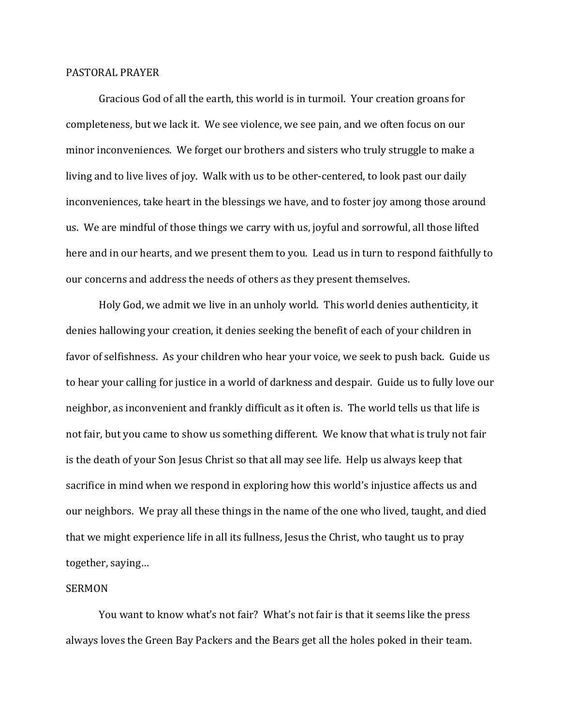## PASTORAL PRAYER

 Gracious God of all the earth, this world is in turmoil. Your creation groans for completeness, but we lack it. We see violence, we see pain, and we often focus on our minor inconveniences. We forget our brothers and sisters who truly struggle to make a living and to live lives of joy. Walk with us to be other-centered, to look past our daily inconveniences, take heart in the blessings we have, and to foster joy among those around us. We are mindful of those things we carry with us, joyful and sorrowful, all those lifted here and in our hearts, and we present them to you. Lead us in turn to respond faithfully to our concerns and address the needs of others as they present themselves.

 Holy God, we admit we live in an unholy world. This world denies authenticity, it denies hallowing your creation, it denies seeking the benefit of each of your children in favor of selfishness. As your children who hear your voice, we seek to push back. Guide us to hear your calling for justice in a world of darkness and despair. Guide us to fully love our neighbor, as inconvenient and frankly difficult as it often is. The world tells us that life is not fair, but you came to show us something different. We know that what is truly not fair is the death of your Son Jesus Christ so that all may see life. Help us always keep that sacrifice in mind when we respond in exploring how this world's injustice affects us and our neighbors. We pray all these things in the name of the one who lived, taught, and died that we might experience life in all its fullness, Jesus the Christ, who taught us to pray together, saying…

## SERMON

 You want to know what's not fair? What's not fair is that it seems like the press always loves the Green Bay Packers and the Bears get all the holes poked in their team.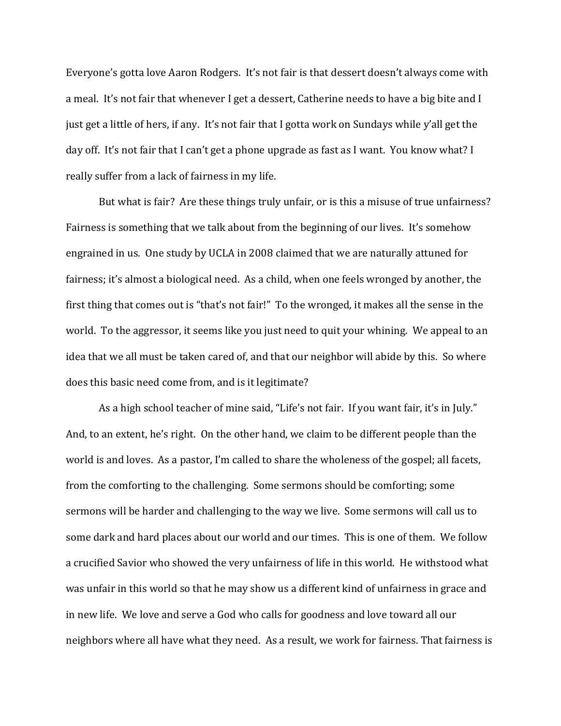Everyone's gotta love Aaron Rodgers. It's not fair is that dessert doesn't always come with a meal. It's not fair that whenever I get a dessert, Catherine needs to have a big bite and I just get a little of hers, if any. It's not fair that I gotta work on Sundays while y'all get the day off. It's not fair that I can't get a phone upgrade as fast as I want. You know what? I really suffer from a lack of fairness in my life.

But what is fair? Are these things truly unfair, or is this a misuse of true unfairness? Fairness is something that we talk about from the beginning of our lives. It's somehow engrained in us. One study by UCLA in 2008 claimed that we are naturally attuned for fairness; it's almost a biological need. As a child, when one feels wronged by another, the first thing that comes out is "that's not fair!" To the wronged, it makes all the sense in the world. To the aggressor, it seems like you just need to quit your whining. We appeal to an idea that we all must be taken cared of, and that our neighbor will abide by this. So where does this basic need come from, and is it legitimate?

As a high school teacher of mine said, "Life's not fair. If you want fair, it's in July." And, to an extent, he's right. On the other hand, we claim to be different people than the world is and loves. As a pastor, I'm called to share the wholeness of the gospel; all facets, from the comforting to the challenging. Some sermons should be comforting; some sermons will be harder and challenging to the way we live. Some sermons will call us to some dark and hard places about our world and our times. This is one of them. We follow a crucified Savior who showed the very unfairness of life in this world. He withstood what was unfair in this world so that he may show us a different kind of unfairness in grace and in new life. We love and serve a God who calls for goodness and love toward all our neighbors where all have what they need. As a result, we work for fairness. That fairness is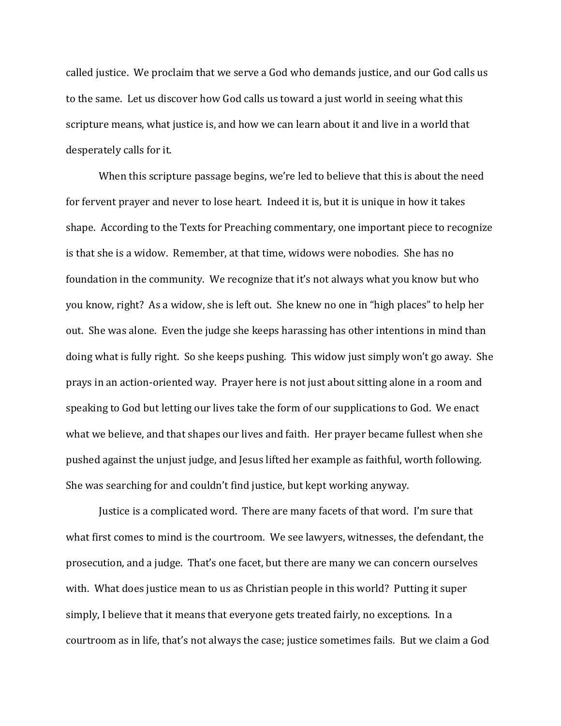called justice. We proclaim that we serve a God who demands justice, and our God calls us to the same. Let us discover how God calls us toward a just world in seeing what this scripture means, what justice is, and how we can learn about it and live in a world that desperately calls for it.

 When this scripture passage begins, we're led to believe that this is about the need for fervent prayer and never to lose heart. Indeed it is, but it is unique in how it takes shape. According to the Texts for Preaching commentary, one important piece to recognize is that she is a widow. Remember, at that time, widows were nobodies. She has no foundation in the community. We recognize that it's not always what you know but who you know, right? As a widow, she is left out. She knew no one in "high places" to help her out. She was alone. Even the judge she keeps harassing has other intentions in mind than doing what is fully right. So she keeps pushing. This widow just simply won't go away. She prays in an action-oriented way. Prayer here is not just about sitting alone in a room and speaking to God but letting our lives take the form of our supplications to God. We enact what we believe, and that shapes our lives and faith. Her prayer became fullest when she pushed against the unjust judge, and Jesus lifted her example as faithful, worth following. She was searching for and couldn't find justice, but kept working anyway.

 Justice is a complicated word. There are many facets of that word. I'm sure that what first comes to mind is the courtroom. We see lawyers, witnesses, the defendant, the prosecution, and a judge. That's one facet, but there are many we can concern ourselves with. What does justice mean to us as Christian people in this world? Putting it super simply, I believe that it means that everyone gets treated fairly, no exceptions. In a courtroom as in life, that's not always the case; justice sometimes fails. But we claim a God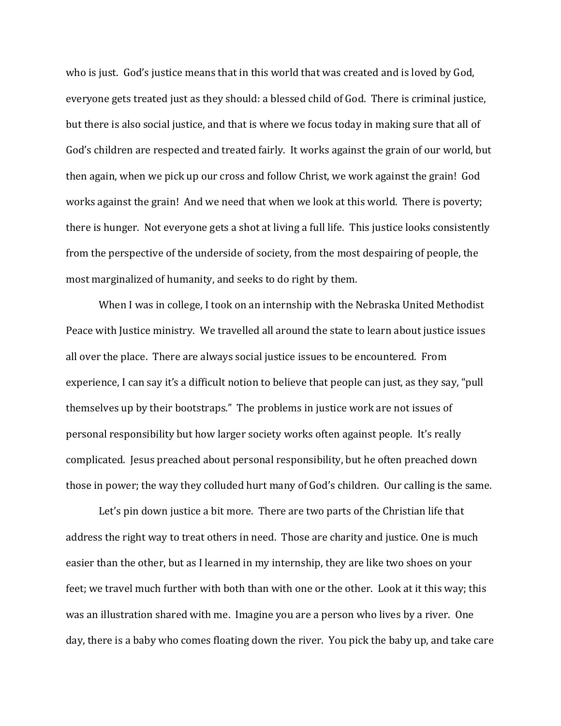who is just. God's justice means that in this world that was created and is loved by God, everyone gets treated just as they should: a blessed child of God. There is criminal justice, but there is also social justice, and that is where we focus today in making sure that all of God's children are respected and treated fairly. It works against the grain of our world, but then again, when we pick up our cross and follow Christ, we work against the grain! God works against the grain! And we need that when we look at this world. There is poverty; there is hunger. Not everyone gets a shot at living a full life. This justice looks consistently from the perspective of the underside of society, from the most despairing of people, the most marginalized of humanity, and seeks to do right by them.

When I was in college, I took on an internship with the Nebraska United Methodist Peace with Justice ministry. We travelled all around the state to learn about justice issues all over the place. There are always social justice issues to be encountered. From experience, I can say it's a difficult notion to believe that people can just, as they say, "pull themselves up by their bootstraps." The problems in justice work are not issues of personal responsibility but how larger society works often against people. It's really complicated. Jesus preached about personal responsibility, but he often preached down those in power; the way they colluded hurt many of God's children. Our calling is the same.

Let's pin down justice a bit more. There are two parts of the Christian life that address the right way to treat others in need. Those are charity and justice. One is much easier than the other, but as I learned in my internship, they are like two shoes on your feet; we travel much further with both than with one or the other. Look at it this way; this was an illustration shared with me. Imagine you are a person who lives by a river. One day, there is a baby who comes floating down the river. You pick the baby up, and take care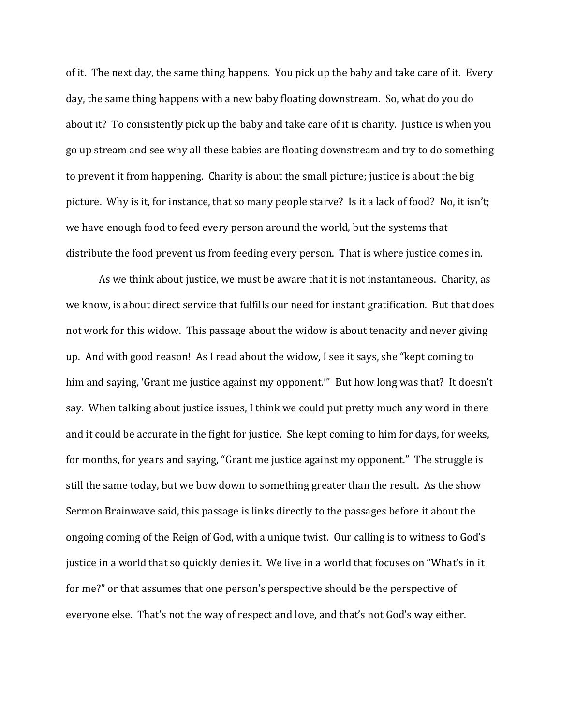of it. The next day, the same thing happens. You pick up the baby and take care of it. Every day, the same thing happens with a new baby floating downstream. So, what do you do about it? To consistently pick up the baby and take care of it is charity. Justice is when you go up stream and see why all these babies are floating downstream and try to do something to prevent it from happening. Charity is about the small picture; justice is about the big picture. Why is it, for instance, that so many people starve? Is it a lack of food? No, it isn't; we have enough food to feed every person around the world, but the systems that distribute the food prevent us from feeding every person. That is where justice comes in.

As we think about justice, we must be aware that it is not instantaneous. Charity, as we know, is about direct service that fulfills our need for instant gratification. But that does not work for this widow. This passage about the widow is about tenacity and never giving up. And with good reason! As I read about the widow, I see it says, she "kept coming to him and saying, 'Grant me justice against my opponent.'" But how long was that? It doesn't say. When talking about justice issues, I think we could put pretty much any word in there and it could be accurate in the fight for justice. She kept coming to him for days, for weeks, for months, for years and saying, "Grant me justice against my opponent." The struggle is still the same today, but we bow down to something greater than the result. As the show Sermon Brainwave said, this passage is links directly to the passages before it about the ongoing coming of the Reign of God, with a unique twist. Our calling is to witness to God's justice in a world that so quickly denies it. We live in a world that focuses on "What's in it for me?" or that assumes that one person's perspective should be the perspective of everyone else. That's not the way of respect and love, and that's not God's way either.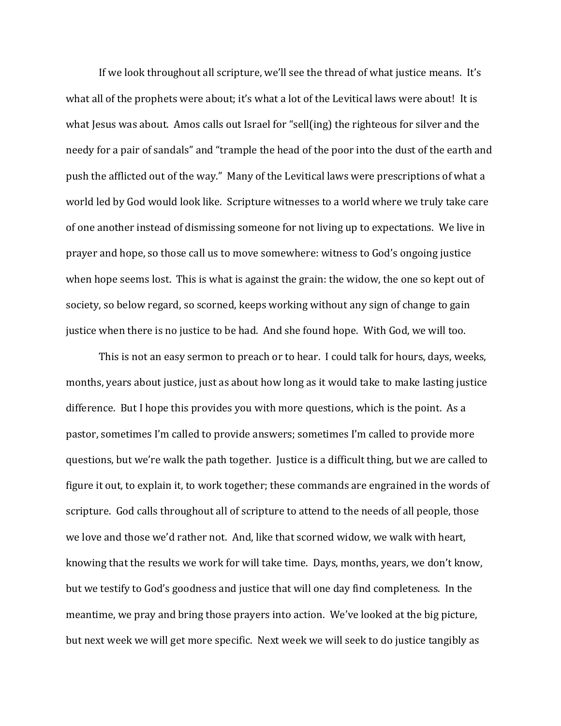If we look throughout all scripture, we'll see the thread of what justice means. It's what all of the prophets were about; it's what a lot of the Levitical laws were about! It is what Jesus was about. Amos calls out Israel for "sell(ing) the righteous for silver and the needy for a pair of sandals" and "trample the head of the poor into the dust of the earth and push the afflicted out of the way." Many of the Levitical laws were prescriptions of what a world led by God would look like. Scripture witnesses to a world where we truly take care of one another instead of dismissing someone for not living up to expectations. We live in prayer and hope, so those call us to move somewhere: witness to God's ongoing justice when hope seems lost. This is what is against the grain: the widow, the one so kept out of society, so below regard, so scorned, keeps working without any sign of change to gain justice when there is no justice to be had. And she found hope. With God, we will too.

 This is not an easy sermon to preach or to hear. I could talk for hours, days, weeks, months, years about justice, just as about how long as it would take to make lasting justice difference. But I hope this provides you with more questions, which is the point. As a pastor, sometimes I'm called to provide answers; sometimes I'm called to provide more questions, but we're walk the path together. Justice is a difficult thing, but we are called to figure it out, to explain it, to work together; these commands are engrained in the words of scripture. God calls throughout all of scripture to attend to the needs of all people, those we love and those we'd rather not. And, like that scorned widow, we walk with heart, knowing that the results we work for will take time. Days, months, years, we don't know, but we testify to God's goodness and justice that will one day find completeness. In the meantime, we pray and bring those prayers into action. We've looked at the big picture, but next week we will get more specific. Next week we will seek to do justice tangibly as